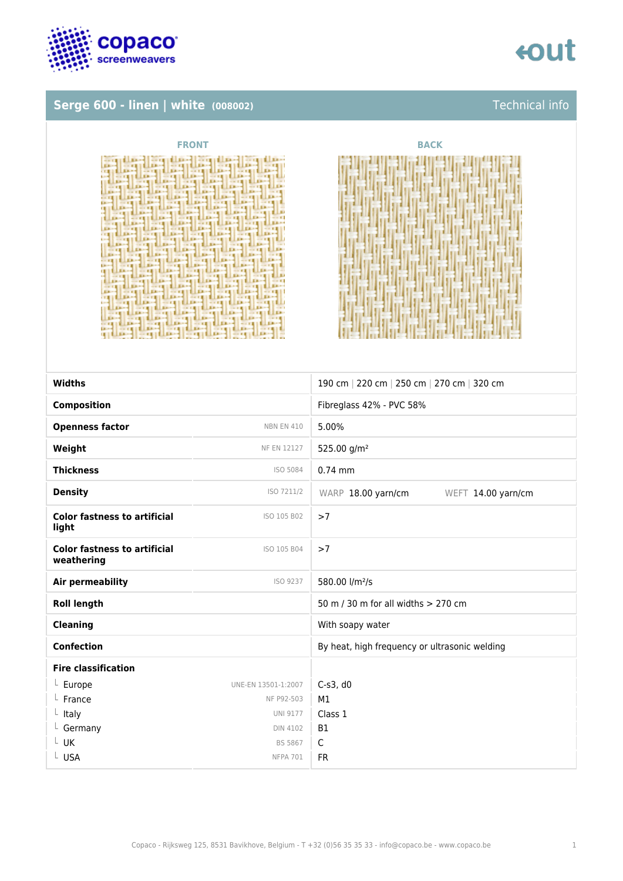

### **Serge 600 - linen | white (008002)** Technical info



| <b>FRONT</b>                                                                                                                                                                                                                                                                                                                                                                                                                                                                                                                                                                                                                                                                                                                                                                                                                                                                                                                                                                                                                                                                                                                                                                                                             | <b>BACK</b> |
|--------------------------------------------------------------------------------------------------------------------------------------------------------------------------------------------------------------------------------------------------------------------------------------------------------------------------------------------------------------------------------------------------------------------------------------------------------------------------------------------------------------------------------------------------------------------------------------------------------------------------------------------------------------------------------------------------------------------------------------------------------------------------------------------------------------------------------------------------------------------------------------------------------------------------------------------------------------------------------------------------------------------------------------------------------------------------------------------------------------------------------------------------------------------------------------------------------------------------|-------------|
| the couple of court in<br><b>CELL LEASE CALL</b><br><b>ERICAL CONTROL</b><br>$-1$<br><b>EXITE</b><br>$L1 - 4$<br>$-44$<br>$-1$<br>$-1$<br><b>EXIMEDIATE</b><br>$-11$<br><b>EA 1-4</b><br><b>LEA - 1 - 4 1 E</b><br><b>LEA -- 1</b><br>$-1$<br>$11 - 11$<br><b>Executive CE</b><br>$-11$<br>$1 + 1$<br><b>BR-1999</b><br>$ +$ $+$<br>Except Link EX L<br>$-11.5$<br>$-1$<br>$-1$<br>$-1$<br>$1 - 1$<br>$\cdots x.$<br>EX-14   4 / 2 2  <br>$-11.77$<br>$-114$<br>医肌干燥<br>$12 - 4$<br>$-1$<br>おおやす! ののであ<br>$-1$<br>$-11$<br><b>Executive Card</b><br><b>EXITE LINES</b><br><b>SAME COLLE</b><br>$1 - 4$<br>$1.3 - 1.$<br>ERIT   HETEL<br><b>EXIST LINES</b><br>$1.2 - 4.1 - 1.1$<br>$-11$<br>Executive CEL<br><b>LEA-4   -- 12</b><br>$-1.2 - -1$<br>$-111$<br>$1 - 1 - 1$<br>2004<br>$1.2.2 - 1.4.1$<br>Executive rest<br>Executive and<br>$1 - 4$<br>$-1$<br>$-11$<br>$2 - 4$ . $-1$ $-1$ $+1$<br>$\cdots$<br><b>EXAMPLE HOURS</b><br><b>EX-41</b><br>$\cdots$<br>$-1$ $K$<br>F.<br>$\cdots$<br>$\cdots$<br><b>Existed Location</b><br>$\mathbf{r}$<br>$-1$<br><b>Car 6 E</b><br>$-12.5$<br>E Bin<br>$-1$<br>$-111$<br><b>Executive Card</b><br><b>LEA - 4</b><br>$3.3 - 1.4 - 1.3$<br>$-11$<br>$-11$<br><b>EX-19 1</b> |             |

| <b>Widths</b>                                     |                     | 190 cm   220 cm   250 cm   270 cm   320 cm    |
|---------------------------------------------------|---------------------|-----------------------------------------------|
| <b>Composition</b>                                |                     | Fibreglass 42% - PVC 58%                      |
| <b>Openness factor</b>                            | <b>NBN EN 410</b>   | 5.00%                                         |
| Weight                                            | NF EN 12127         | 525.00 g/m <sup>2</sup>                       |
| <b>Thickness</b>                                  | ISO 5084            | $0.74$ mm                                     |
| <b>Density</b>                                    | ISO 7211/2          | WARP 18.00 yarn/cm<br>WEFT 14.00 yarn/cm      |
| <b>Color fastness to artificial</b><br>light      | ISO 105 B02         | >7                                            |
| <b>Color fastness to artificial</b><br>weathering | ISO 105 B04         | >7                                            |
| <b>Air permeability</b>                           | ISO 9237            | 580.00 l/m <sup>2</sup> /s                    |
| <b>Roll length</b>                                |                     | 50 m / 30 m for all widths > 270 cm           |
| <b>Cleaning</b>                                   |                     | With soapy water                              |
| <b>Confection</b>                                 |                     | By heat, high frequency or ultrasonic welding |
| <b>Fire classification</b>                        |                     |                                               |
| $L$ Europe                                        | UNE-EN 13501-1:2007 | $C-s3$ , d $0$                                |
| L France                                          | NF P92-503          | M1                                            |
| $L$ Italy                                         | <b>UNI 9177</b>     | Class 1                                       |
| Germany                                           | <b>DIN 4102</b>     | <b>B1</b>                                     |
| $L$ UK                                            | BS 5867             | $\mathsf C$                                   |
| L USA                                             | <b>NFPA 701</b>     | <b>FR</b>                                     |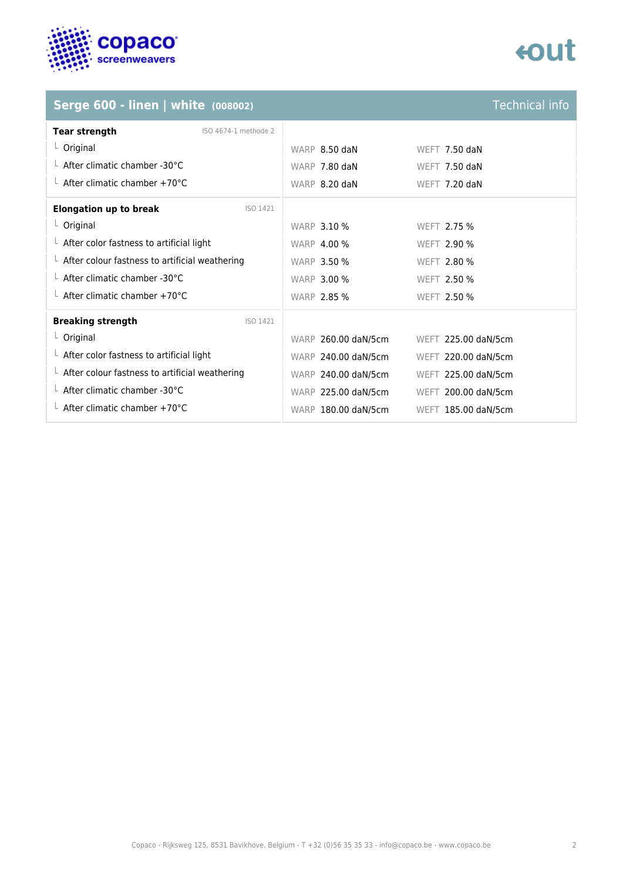

## tout

### **Serge 600 - linen | white**  $(008002)$

| <b>Technical info</b> |  |  |
|-----------------------|--|--|
|                       |  |  |
|                       |  |  |

| <b>Tear strength</b><br>ISO 4674-1 methode 2<br>$L$ Original<br>WARP 8.50 daN<br>WEFT 7.50 daN<br>$\perp$ After climatic chamber -30°C<br>WARP 7.80 daN<br><b>WEFT 7.50 daN</b><br>$\perp$ After climatic chamber +70°C<br>WARP 8.20 daN<br>WEFT 7.20 daN |  |
|-----------------------------------------------------------------------------------------------------------------------------------------------------------------------------------------------------------------------------------------------------------|--|
|                                                                                                                                                                                                                                                           |  |
|                                                                                                                                                                                                                                                           |  |
|                                                                                                                                                                                                                                                           |  |
|                                                                                                                                                                                                                                                           |  |
| <b>Elongation up to break</b><br>ISO 1421                                                                                                                                                                                                                 |  |
| $L$ Original<br><b>WARP 3.10 %</b><br>WEFT 2.75 %                                                                                                                                                                                                         |  |
| $\perp$ After color fastness to artificial light<br><b>WARP 4.00 %</b><br><b>WEFT 2.90 %</b>                                                                                                                                                              |  |
| $\perp$ After colour fastness to artificial weathering<br>WARP 3.50 %<br>WEFT 2.80 %                                                                                                                                                                      |  |
| $\perp$ After climatic chamber -30°C<br><b>WARP 3.00 %</b><br>WEFT 2.50 %                                                                                                                                                                                 |  |
| $\perp$ After climatic chamber +70°C<br><b>WARP 2.85 %</b><br>WEFT 2.50 %                                                                                                                                                                                 |  |
| <b>Breaking strength</b><br>ISO 1421                                                                                                                                                                                                                      |  |
| $L$ Original<br>WARP 260.00 daN/5cm<br>WEFT 225.00 daN/5cm                                                                                                                                                                                                |  |
| $\perp$ After color fastness to artificial light<br>WARP 240.00 daN/5cm<br>WEFT 220.00 daN/5cm                                                                                                                                                            |  |
| $\perp$ After colour fastness to artificial weathering<br>WARP 240.00 daN/5cm<br>WEFT 225.00 daN/5cm                                                                                                                                                      |  |
| $\perp$ After climatic chamber -30°C<br>WARP 225.00 daN/5cm<br>WEFT 200.00 daN/5cm                                                                                                                                                                        |  |
| $\perp$ After climatic chamber +70°C<br>WARP 180.00 daN/5cm<br>WEFT 185.00 daN/5cm                                                                                                                                                                        |  |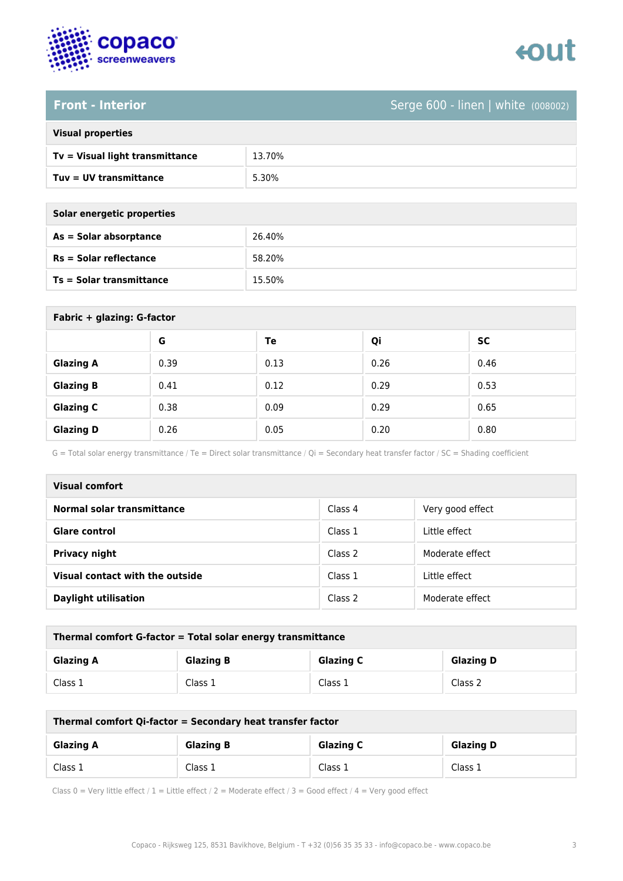

### **Front - Interior** Serge 600 - linen | white (008002)

| <b>Visual properties</b> |  |  |
|--------------------------|--|--|
|                          |  |  |

| Tv = Visual light transmittance | 13.70% |
|---------------------------------|--------|
| Tuv = UV transmittance          | 5.30%  |

| Solar energetic properties      |        |
|---------------------------------|--------|
| As = Solar absorptance          | 26.40% |
| $Rs = Solar$ reflectance        | 58.20% |
| <b>Ts = Solar transmittance</b> | 15.50% |

| Fabric + glazing: G-factor |      |      |      |           |
|----------------------------|------|------|------|-----------|
|                            | G    | Te   | Qi   | <b>SC</b> |
| <b>Glazing A</b>           | 0.39 | 0.13 | 0.26 | 0.46      |
| <b>Glazing B</b>           | 0.41 | 0.12 | 0.29 | 0.53      |
| <b>Glazing C</b>           | 0.38 | 0.09 | 0.29 | 0.65      |
| <b>Glazing D</b>           | 0.26 | 0.05 | 0.20 | 0.80      |

G = Total solar energy transmittance / Te = Direct solar transmittance / Qi = Secondary heat transfer factor / SC = Shading coefficient

| Visual comfort                  |         |                  |  |
|---------------------------------|---------|------------------|--|
| Normal solar transmittance      | Class 4 | Very good effect |  |
| <b>Glare control</b>            | Class 1 | Little effect    |  |
| <b>Privacy night</b>            | Class 2 | Moderate effect  |  |
| Visual contact with the outside | Class 1 | Little effect    |  |
| <b>Daylight utilisation</b>     | Class 2 | Moderate effect  |  |

| Thermal comfort G-factor = Total solar energy transmittance |                  |                  |                  |  |
|-------------------------------------------------------------|------------------|------------------|------------------|--|
| <b>Glazing A</b>                                            | <b>Glazing B</b> | <b>Glazing C</b> | <b>Glazing D</b> |  |
| Class 1                                                     | Class 1          | Class 1          | Class 2          |  |

| Thermal comfort Qi-factor = Secondary heat transfer factor                   |         |         |         |  |
|------------------------------------------------------------------------------|---------|---------|---------|--|
| <b>Glazing B</b><br><b>Glazing C</b><br><b>Glazing D</b><br><b>Glazing A</b> |         |         |         |  |
| Class 1                                                                      | Class 1 | Class 1 | Class 1 |  |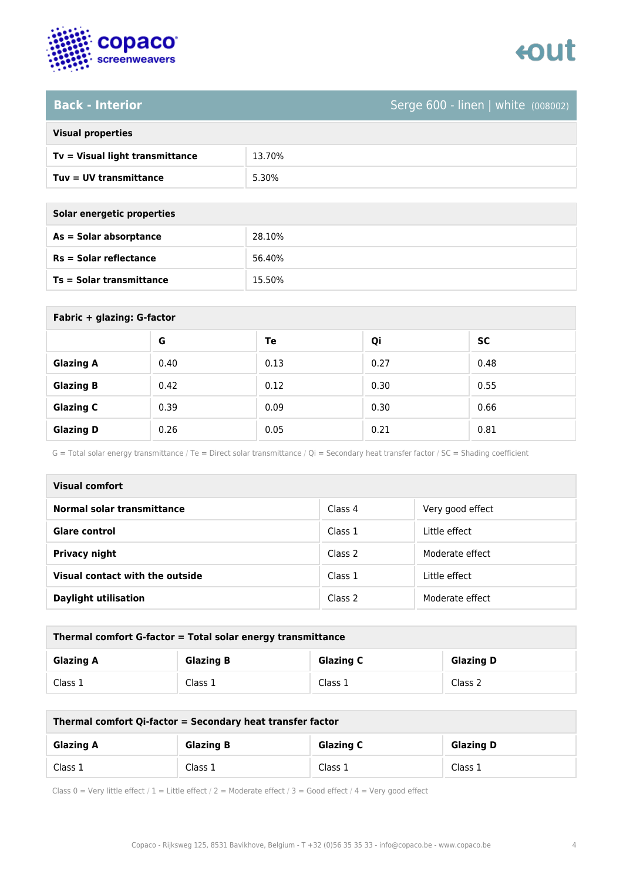



### **Back - Interior** Serge 600 - linen | white (008002)

| <b>Visual properties</b> |  |  |
|--------------------------|--|--|

| Tv = Visual light transmittance | 13.70% |
|---------------------------------|--------|
| $Tuv = UV$ transmittance        | 5.30%  |

| Solar energetic properties      |        |  |
|---------------------------------|--------|--|
| As = Solar absorptance          | 28.10% |  |
| $Rs = Solar$ reflectance        | 56.40% |  |
| <b>Ts = Solar transmittance</b> | 15.50% |  |

| Fabric + glazing: G-factor |      |      |      |           |  |
|----------------------------|------|------|------|-----------|--|
|                            | G    | Te   | Qi   | <b>SC</b> |  |
| <b>Glazing A</b>           | 0.40 | 0.13 | 0.27 | 0.48      |  |
| <b>Glazing B</b>           | 0.42 | 0.12 | 0.30 | 0.55      |  |
| <b>Glazing C</b>           | 0.39 | 0.09 | 0.30 | 0.66      |  |
| <b>Glazing D</b>           | 0.26 | 0.05 | 0.21 | 0.81      |  |

G = Total solar energy transmittance / Te = Direct solar transmittance / Qi = Secondary heat transfer factor / SC = Shading coefficient

| Visual comfort                  |         |                  |  |  |
|---------------------------------|---------|------------------|--|--|
| Normal solar transmittance      | Class 4 | Very good effect |  |  |
| <b>Glare control</b>            | Class 1 | Little effect    |  |  |
| <b>Privacy night</b>            | Class 2 | Moderate effect  |  |  |
| Visual contact with the outside | Class 1 | Little effect    |  |  |
| <b>Daylight utilisation</b>     | Class 2 | Moderate effect  |  |  |

| Thermal comfort G-factor = Total solar energy transmittance                  |         |         |         |  |  |
|------------------------------------------------------------------------------|---------|---------|---------|--|--|
| <b>Glazing C</b><br><b>Glazing B</b><br><b>Glazing D</b><br><b>Glazing A</b> |         |         |         |  |  |
| Class 1                                                                      | Class 1 | Class 1 | Class 2 |  |  |

| Thermal comfort Qi-factor = Secondary heat transfer factor                   |         |         |         |  |
|------------------------------------------------------------------------------|---------|---------|---------|--|
| <b>Glazing C</b><br><b>Glazing B</b><br><b>Glazing D</b><br><b>Glazing A</b> |         |         |         |  |
| Class 1                                                                      | Class 1 | Class 1 | Class 1 |  |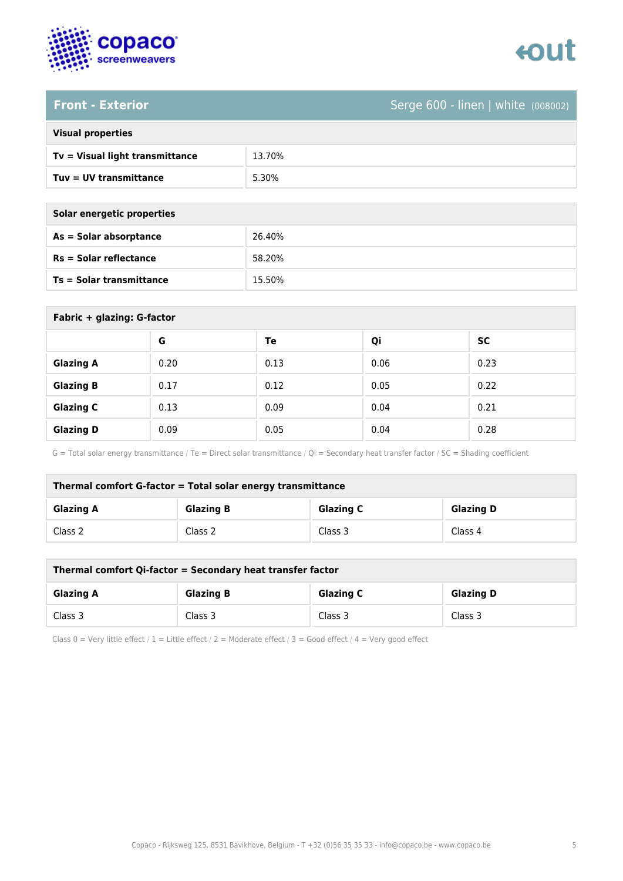

# tout

### **Front - Exterior** Serge 600 - linen | white (008002)

| <b>Visual properties</b> |  |  |
|--------------------------|--|--|
|                          |  |  |

| Tv = Visual light transmittance | 13.70% |
|---------------------------------|--------|
| Tuv = UV transmittance          | 5.30%  |

| Solar energetic properties |        |  |
|----------------------------|--------|--|
| As = Solar absorptance     | 26.40% |  |
| $Rs = Solar$ reflectance   | 58.20% |  |
| Ts = Solar transmittance   | 15.50% |  |

| Fabric + glazing: G-factor |      |      |      |           |
|----------------------------|------|------|------|-----------|
|                            | G    | Te   | Qi   | <b>SC</b> |
| <b>Glazing A</b>           | 0.20 | 0.13 | 0.06 | 0.23      |
| <b>Glazing B</b>           | 0.17 | 0.12 | 0.05 | 0.22      |
| <b>Glazing C</b>           | 0.13 | 0.09 | 0.04 | 0.21      |
| <b>Glazing D</b>           | 0.09 | 0.05 | 0.04 | 0.28      |

G = Total solar energy transmittance / Te = Direct solar transmittance / Qi = Secondary heat transfer factor / SC = Shading coefficient

| Thermal comfort G-factor = Total solar energy transmittance                  |         |         |         |  |  |
|------------------------------------------------------------------------------|---------|---------|---------|--|--|
| <b>Glazing C</b><br><b>Glazing B</b><br><b>Glazing D</b><br><b>Glazing A</b> |         |         |         |  |  |
| Class 2                                                                      | Class 2 | Class 3 | Class 4 |  |  |

| Thermal comfort Qi-factor = Secondary heat transfer factor                   |         |         |         |  |
|------------------------------------------------------------------------------|---------|---------|---------|--|
| <b>Glazing B</b><br><b>Glazing C</b><br><b>Glazing D</b><br><b>Glazing A</b> |         |         |         |  |
| Class 3                                                                      | Class 3 | Class 3 | Class 3 |  |